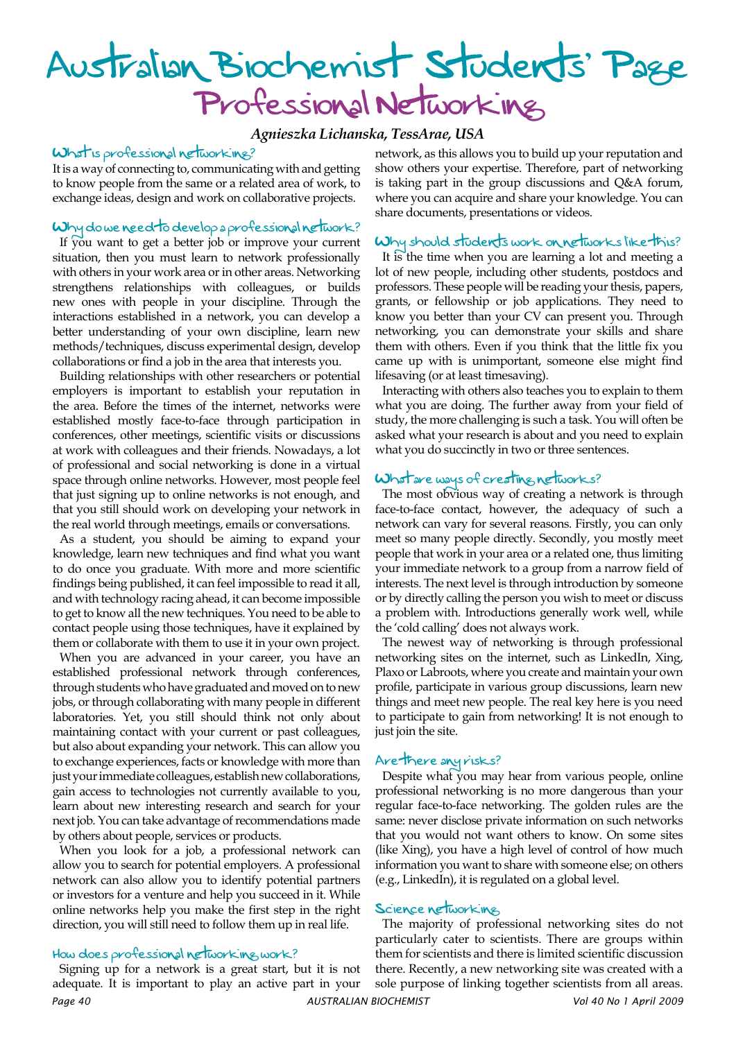# Australian Biochemist Students' Page Professional Networking

*Agnieszka Lichanska, TessArae, USA*

#### What is professional networking?

It is a way of connecting to, communicating with and getting to know people from the same or a related area of work, to exchange ideas, design and work on collaborative projects.

# Why do we need to develop a professional network?

If you want to get a better job or improve your current situation, then you must learn to network professionally with others in your work area or in other areas. Networking strengthens relationships with colleagues, or builds new ones with people in your discipline. Through the interactions established in a network, you can develop a better understanding of your own discipline, learn new methods/techniques, discuss experimental design, develop collaborations or find a job in the area that interests you.

Building relationships with other researchers or potential employers is important to establish your reputation in the area. Before the times of the internet, networks were established mostly face-to-face through participation in conferences, other meetings, scientific visits or discussions at work with colleagues and their friends. Nowadays, a lot of professional and social networking is done in a virtual space through online networks. However, most people feel that just signing up to online networks is not enough, and that you still should work on developing your network in the real world through meetings, emails or conversations.

As a student, you should be aiming to expand your knowledge, learn new techniques and find what you want to do once you graduate. With more and more scientific findings being published, it can feel impossible to read it all, and with technology racing ahead, it can become impossible to get to know all the new techniques. You need to be able to contact people using those techniques, have it explained by them or collaborate with them to use it in your own project.

When you are advanced in your career, you have an established professional network through conferences, through students who have graduated and moved on to new jobs, or through collaborating with many people in different laboratories. Yet, you still should think not only about maintaining contact with your current or past colleagues, but also about expanding your network. This can allow you to exchange experiences, facts or knowledge with more than just your immediate colleagues, establish new collaborations, gain access to technologies not currently available to you, learn about new interesting research and search for your next job. You can take advantage of recommendations made by others about people, services or products.

When you look for a job, a professional network can allow you to search for potential employers. A professional network can also allow you to identify potential partners or investors for a venture and help you succeed in it. While online networks help you make the first step in the right direction, you will still need to follow them up in real life.

# How does professional networking work?

*Page 40 AUSTRALIAN BIOCHEMIST Vol 40 No 1 April 2009* Signing up for a network is a great start, but it is not adequate. It is important to play an active part in your

network, as this allows you to build up your reputation and show others your expertise. Therefore, part of networking is taking part in the group discussions and Q&A forum, where you can acquire and share your knowledge. You can share documents, presentations or videos.

#### Why should students work on networks like this?

It is the time when you are learning a lot and meeting a lot of new people, including other students, postdocs and professors. These people will be reading your thesis, papers, grants, or fellowship or job applications. They need to know you better than your CV can present you. Through networking, you can demonstrate your skills and share them with others. Even if you think that the little fix you came up with is unimportant, someone else might find lifesaving (or at least timesaving).

Interacting with others also teaches you to explain to them what you are doing. The further away from your field of study, the more challenging is such a task. You will often be asked what your research is about and you need to explain what you do succinctly in two or three sentences.

# What are ways of creating networks?

The most obvious way of creating a network is through face-to-face contact, however, the adequacy of such a network can vary for several reasons. Firstly, you can only meet so many people directly. Secondly, you mostly meet people that work in your area or a related one, thus limiting your immediate network to a group from a narrow field of interests. The next level is through introduction by someone or by directly calling the person you wish to meet or discuss a problem with. Introductions generally work well, while the 'cold calling' does not always work.

The newest way of networking is through professional networking sites on the internet, such as LinkedIn, Xing, Plaxo or Labroots, where you create and maintain your own profile, participate in various group discussions, learn new things and meet new people. The real key here is you need to participate to gain from networking! It is not enough to just join the site.

#### Are there any risks?

Despite what you may hear from various people, online professional networking is no more dangerous than your regular face-to-face networking. The golden rules are the same: never disclose private information on such networks that you would not want others to know. On some sites (like Xing), you have a high level of control of how much information you want to share with someone else; on others (e.g., LinkedIn), it is regulated on a global level.

## Science networking

The majority of professional networking sites do not particularly cater to scientists. There are groups within them for scientists and there is limited scientific discussion there. Recently, a new networking site was created with a sole purpose of linking together scientists from all areas.